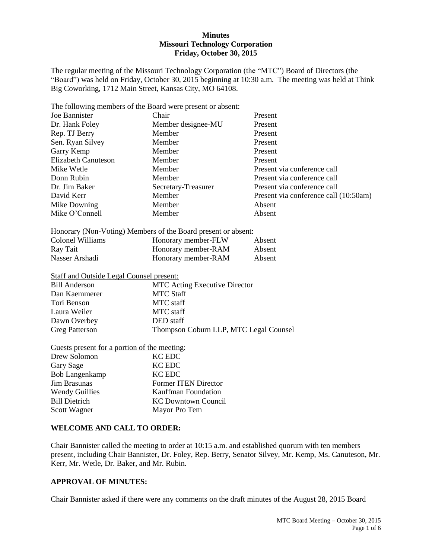#### **Minutes Missouri Technology Corporation Friday, October 30, 2015**

The regular meeting of the Missouri Technology Corporation (the "MTC") Board of Directors (the "Board") was held on Friday, October 30, 2015 beginning at 10:30 a.m. The meeting was held at Think Big Coworking, 1712 Main Street, Kansas City, MO 64108.

| The following members of the Board were present or absent:    |                                        |                                       |  |  |  |
|---------------------------------------------------------------|----------------------------------------|---------------------------------------|--|--|--|
| <b>Joe Bannister</b>                                          | Chair<br>Present                       |                                       |  |  |  |
| Dr. Hank Foley                                                | Member designee-MU<br>Present          |                                       |  |  |  |
| Rep. TJ Berry                                                 | Member<br>Present                      |                                       |  |  |  |
| Sen. Ryan Silvey                                              | Member<br>Present                      |                                       |  |  |  |
| Garry Kemp                                                    | Member                                 | Present                               |  |  |  |
| <b>Elizabeth Canuteson</b>                                    | Member<br>Present                      |                                       |  |  |  |
| Mike Wetle                                                    | Member                                 | Present via conference call           |  |  |  |
| Donn Rubin                                                    | Present via conference call<br>Member  |                                       |  |  |  |
| Dr. Jim Baker                                                 | Secretary-Treasurer                    | Present via conference call           |  |  |  |
| David Kerr                                                    | Member                                 | Present via conference call (10:50am) |  |  |  |
| Mike Downing                                                  | Member                                 | Absent                                |  |  |  |
| Mike O'Connell                                                | Member<br>Absent                       |                                       |  |  |  |
|                                                               |                                        |                                       |  |  |  |
| Honorary (Non-Voting) Members of the Board present or absent: |                                        |                                       |  |  |  |
| <b>Colonel Williams</b>                                       | Honorary member-FLW                    | Absent                                |  |  |  |
| Ray Tait                                                      | Honorary member-RAM                    | Absent                                |  |  |  |
| Nasser Arshadi                                                | Honorary member-RAM                    | Absent                                |  |  |  |
|                                                               |                                        |                                       |  |  |  |
| <b>Staff and Outside Legal Counsel present:</b>               |                                        |                                       |  |  |  |
| <b>Bill Anderson</b>                                          | <b>MTC Acting Executive Director</b>   |                                       |  |  |  |
| Dan Kaemmerer                                                 | <b>MTC Staff</b>                       |                                       |  |  |  |
| Tori Benson                                                   | MTC staff                              |                                       |  |  |  |
| Laura Weiler                                                  | <b>MTC</b> staff                       |                                       |  |  |  |
| Dawn Overbey                                                  | DED staff                              |                                       |  |  |  |
| <b>Greg Patterson</b>                                         | Thompson Coburn LLP, MTC Legal Counsel |                                       |  |  |  |
| Guests present for a portion of the meeting:                  |                                        |                                       |  |  |  |
| Drew Solomon                                                  | <b>KC EDC</b>                          |                                       |  |  |  |
| Gary Sage                                                     | <b>KC EDC</b>                          |                                       |  |  |  |
| <b>Bob Langenkamp</b>                                         | <b>KC EDC</b>                          |                                       |  |  |  |
| <b>Jim Brasunas</b>                                           | <b>Former ITEN Director</b>            |                                       |  |  |  |
| <b>Wendy Guillies</b>                                         |                                        |                                       |  |  |  |
| <b>Bill Dietrich</b>                                          | Kauffman Foundation                    |                                       |  |  |  |
|                                                               | <b>KC Downtown Council</b>             |                                       |  |  |  |
| Scott Wagner                                                  | Mayor Pro Tem                          |                                       |  |  |  |

## **WELCOME AND CALL TO ORDER:**

Chair Bannister called the meeting to order at 10:15 a.m. and established quorum with ten members present, including Chair Bannister, Dr. Foley, Rep. Berry, Senator Silvey, Mr. Kemp, Ms. Canuteson, Mr. Kerr, Mr. Wetle, Dr. Baker, and Mr. Rubin.

## **APPROVAL OF MINUTES:**

Chair Bannister asked if there were any comments on the draft minutes of the August 28, 2015 Board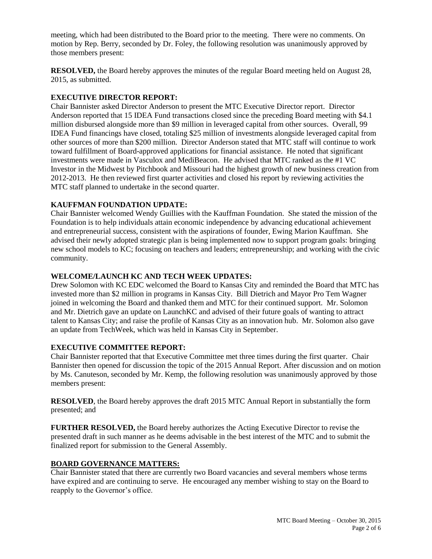meeting, which had been distributed to the Board prior to the meeting. There were no comments. On motion by Rep. Berry, seconded by Dr. Foley, the following resolution was unanimously approved by those members present:

**RESOLVED,** the Board hereby approves the minutes of the regular Board meeting held on August 28, 2015, as submitted.

## **EXECUTIVE DIRECTOR REPORT:**

Chair Bannister asked Director Anderson to present the MTC Executive Director report. Director Anderson reported that 15 IDEA Fund transactions closed since the preceding Board meeting with \$4.1 million disbursed alongside more than \$9 million in leveraged capital from other sources. Overall, 99 IDEA Fund financings have closed, totaling \$25 million of investments alongside leveraged capital from other sources of more than \$200 million. Director Anderson stated that MTC staff will continue to work toward fulfillment of Board-approved applications for financial assistance. He noted that significant investments were made in Vasculox and MediBeacon. He advised that MTC ranked as the #1 VC Investor in the Midwest by Pitchbook and Missouri had the highest growth of new business creation from 2012-2013. He then reviewed first quarter activities and closed his report by reviewing activities the MTC staff planned to undertake in the second quarter.

### **KAUFFMAN FOUNDATION UPDATE:**

Chair Bannister welcomed Wendy Guillies with the Kauffman Foundation. She stated the mission of the Foundation is to help individuals attain economic independence by advancing educational achievement and entrepreneurial success, consistent with the aspirations of founder, Ewing Marion Kauffman. She advised their newly adopted strategic plan is being implemented now to support program goals: bringing new school models to KC; focusing on teachers and leaders; entrepreneurship; and working with the civic community.

### **WELCOME/LAUNCH KC AND TECH WEEK UPDATES:**

Drew Solomon with KC EDC welcomed the Board to Kansas City and reminded the Board that MTC has invested more than \$2 million in programs in Kansas City. Bill Dietrich and Mayor Pro Tem Wagner joined in welcoming the Board and thanked them and MTC for their continued support. Mr. Solomon and Mr. Dietrich gave an update on LaunchKC and advised of their future goals of wanting to attract talent to Kansas City; and raise the profile of Kansas City as an innovation hub. Mr. Solomon also gave an update from TechWeek, which was held in Kansas City in September.

### **EXECUTIVE COMMITTEE REPORT:**

Chair Bannister reported that that Executive Committee met three times during the first quarter.Chair Bannister then opened for discussion the topic of the 2015 Annual Report. After discussion and on motion by Ms. Canuteson, seconded by Mr. Kemp, the following resolution was unanimously approved by those members present:

**RESOLVED**, the Board hereby approves the draft 2015 MTC Annual Report in substantially the form presented; and

**FURTHER RESOLVED,** the Board hereby authorizes the Acting Executive Director to revise the presented draft in such manner as he deems advisable in the best interest of the MTC and to submit the finalized report for submission to the General Assembly.

### **BOARD GOVERNANCE MATTERS:**

Chair Bannister stated that there are currently two Board vacancies and several members whose terms have expired and are continuing to serve. He encouraged any member wishing to stay on the Board to reapply to the Governor's office.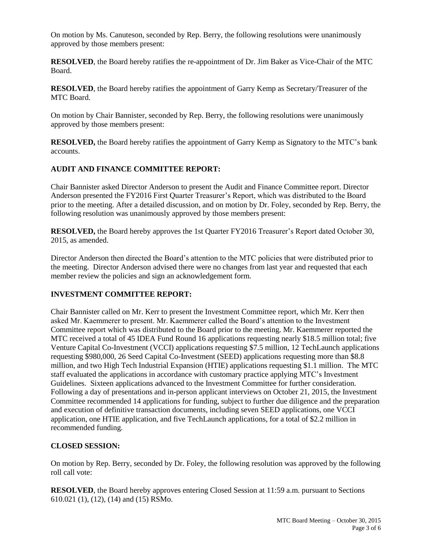On motion by Ms. Canuteson, seconded by Rep. Berry, the following resolutions were unanimously approved by those members present:

**RESOLVED**, the Board hereby ratifies the re-appointment of Dr. Jim Baker as Vice-Chair of the MTC Board.

**RESOLVED**, the Board hereby ratifies the appointment of Garry Kemp as Secretary/Treasurer of the MTC Board.

On motion by Chair Bannister, seconded by Rep. Berry, the following resolutions were unanimously approved by those members present:

**RESOLVED,** the Board hereby ratifies the appointment of Garry Kemp as Signatory to the MTC's bank accounts.

# **AUDIT AND FINANCE COMMITTEE REPORT:**

Chair Bannister asked Director Anderson to present the Audit and Finance Committee report. Director Anderson presented the FY2016 First Quarter Treasurer's Report, which was distributed to the Board prior to the meeting. After a detailed discussion, and on motion by Dr. Foley, seconded by Rep. Berry, the following resolution was unanimously approved by those members present:

**RESOLVED,** the Board hereby approves the 1st Quarter FY2016 Treasurer's Report dated October 30, 2015, as amended.

Director Anderson then directed the Board's attention to the MTC policies that were distributed prior to the meeting. Director Anderson advised there were no changes from last year and requested that each member review the policies and sign an acknowledgement form.

### **INVESTMENT COMMITTEE REPORT:**

Chair Bannister called on Mr. Kerr to present the Investment Committee report, which Mr. Kerr then asked Mr. Kaemmerer to present. Mr. Kaemmerer called the Board's attention to the Investment Committee report which was distributed to the Board prior to the meeting. Mr. Kaemmerer reported the MTC received a total of 45 IDEA Fund Round 16 applications requesting nearly \$18.5 million total; five Venture Capital Co-Investment (VCCI) applications requesting \$7.5 million, 12 TechLaunch applications requesting \$980,000, 26 Seed Capital Co-Investment (SEED) applications requesting more than \$8.8 million, and two High Tech Industrial Expansion (HTIE) applications requesting \$1.1 million. The MTC staff evaluated the applications in accordance with customary practice applying MTC's Investment Guidelines. Sixteen applications advanced to the Investment Committee for further consideration. Following a day of presentations and in-person applicant interviews on October 21, 2015, the Investment Committee recommended 14 applications for funding, subject to further due diligence and the preparation and execution of definitive transaction documents, including seven SEED applications, one VCCI application, one HTIE application, and five TechLaunch applications, for a total of \$2.2 million in recommended funding.

### **CLOSED SESSION:**

On motion by Rep. Berry, seconded by Dr. Foley, the following resolution was approved by the following roll call vote:

**RESOLVED**, the Board hereby approves entering Closed Session at 11:59 a.m. pursuant to Sections 610.021 (1), (12), (14) and (15) RSMo.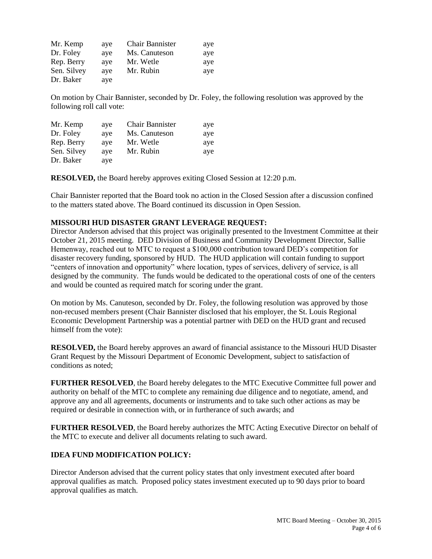| Mr. Kemp    | aye | Chair Bannister | aye |
|-------------|-----|-----------------|-----|
| Dr. Foley   | ave | Ms. Canuteson   | aye |
| Rep. Berry  | ave | Mr. Wetle       | aye |
| Sen. Silvey | ave | Mr. Rubin       | aye |
| Dr. Baker   | aye |                 |     |

On motion by Chair Bannister, seconded by Dr. Foley, the following resolution was approved by the following roll call vote:

| Mr. Kemp    | aye | <b>Chair Bannister</b> | aye |
|-------------|-----|------------------------|-----|
| Dr. Foley   | ave | Ms. Canuteson          | aye |
| Rep. Berry  | aye | Mr. Wetle              | aye |
| Sen. Silvey | ave | Mr. Rubin              | aye |
| Dr. Baker   | aye |                        |     |

**RESOLVED,** the Board hereby approves exiting Closed Session at 12:20 p.m.

Chair Bannister reported that the Board took no action in the Closed Session after a discussion confined to the matters stated above. The Board continued its discussion in Open Session.

#### **MISSOURI HUD DISASTER GRANT LEVERAGE REQUEST:**

Director Anderson advised that this project was originally presented to the Investment Committee at their October 21, 2015 meeting.DED Division of Business and Community Development Director, Sallie Hemenway, reached out to MTC to request a \$100,000 contribution toward DED's competition for disaster recovery funding, sponsored by HUD. The HUD application will contain funding to support "centers of innovation and opportunity" where location, types of services, delivery of service, is all designed by the community. The funds would be dedicated to the operational costs of one of the centers and would be counted as required match for scoring under the grant.

On motion by Ms. Canuteson, seconded by Dr. Foley, the following resolution was approved by those non-recused members present (Chair Bannister disclosed that his employer, the St. Louis Regional Economic Development Partnership was a potential partner with DED on the HUD grant and recused himself from the vote):

**RESOLVED,** the Board hereby approves an award of financial assistance to the Missouri HUD Disaster Grant Request by the Missouri Department of Economic Development, subject to satisfaction of conditions as noted;

**FURTHER RESOLVED**, the Board hereby delegates to the MTC Executive Committee full power and authority on behalf of the MTC to complete any remaining due diligence and to negotiate, amend, and approve any and all agreements, documents or instruments and to take such other actions as may be required or desirable in connection with, or in furtherance of such awards; and

**FURTHER RESOLVED**, the Board hereby authorizes the MTC Acting Executive Director on behalf of the MTC to execute and deliver all documents relating to such award.

### **IDEA FUND MODIFICATION POLICY:**

Director Anderson advised that the current policy states that only investment executed after board approval qualifies as match. Proposed policy states investment executed up to 90 days prior to board approval qualifies as match.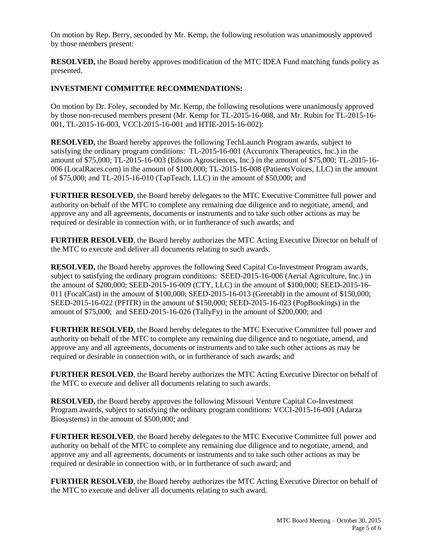On motion by Rep. Berry, seconded by Mr. Kemp, the following resolution was unanimously approved by those members present:

**RESOLVED,** the Board hereby approves modification of the MTC IDEA Fund matching funds policy as presented.

### **INVESTMENT COMMITTEE RECOMMENDATIONS:**

On motion by Dr. Foley, seconded by Mr. Kemp, the following resolutions were unanimously approved by those non-recused members present (Mr. Kemp for TL-2015-16-008, and Mr. Rubin for TL-2015-16- 001, TL-2015-16-003, VCCI-2015-16-001 and HTIE-2015-16-002):

**RESOLVED,** the Board hereby approves the following TechLaunch Program awards, subject to satisfying the ordinary program conditions: TL-2015-16-001 (Accuronix Therapeutics, Inc.) in the amount of \$75,000; TL-2015-16-003 (Edison Agrosciences, Inc.) in the amount of \$75,000; TL-2015-16- 006 (LocalRaces.com) in the amount of \$100,000; TL-2015-16-008 (PatientsVoices, LLC) in the amount of \$75,000; and TL-2015-16-010 (TapTeach, LLC) in the amount of \$50,000; and

**FURTHER RESOLVED, the Board hereby delegates to the MTC Executive Committee full power and** authority on behalf of the MTC to complete any remaining due diligence and to negotiate, amend, and approve any and all agreements, documents or instruments and to take such other actions as may be required or desirable in connection with, or in furtherance of such awards; and

**FURTHER RESOLVED**, the Board hereby authorizes the MTC Acting Executive Director on behalf of the MTC to execute and deliver all documents relating to such awards.

**RESOLVED,** the Board hereby approves the following Seed Capital Co-Investment Program awards, subject to satisfying the ordinary program conditions: SEED-2015-16-006 (Aerial Agriculture, Inc.) in the amount of \$200,000; SEED-2015-16-009 (CTY, LLC) in the amount of \$100,000; SEED-2015-16- 011 (FocalCast) in the amount of \$100,000; SEED-2015-16-013 (Greetabl) in the amount of \$150,000; SEED-2015-16-022 (PFITR) in the amount of \$150,000; SEED-2015-16-023 (PopBookings) in the amount of \$75,000; and SEED-2015-16-026 (TallyFy) in the amount of \$200,000; and

**FURTHER RESOLVED, the Board hereby delegates to the MTC Executive Committee full power and** authority on behalf of the MTC to complete any remaining due diligence and to negotiate, amend, and approve any and all agreements, documents or instruments and to take such other actions as may be required or desirable in connection with, or in furtherance of such awards; and

**FURTHER RESOLVED**, the Board hereby authorizes the MTC Acting Executive Director on behalf of the MTC to execute and deliver all documents relating to such awards.

**RESOLVED,** the Board hereby approves the following Missouri Venture Capital Co-Investment Program awards, subject to satisfying the ordinary program conditions: VCCI-2015-16-001 (Adarza Biosystems) in the amount of \$500,000; and

**FURTHER RESOLVED**, the Board hereby delegates to the MTC Executive Committee full power and authority on behalf of the MTC to complete any remaining due diligence and to negotiate, amend, and approve any and all agreements, documents or instruments and to take such other actions as may be required or desirable in connection with, or in furtherance of such award; and

**FURTHER RESOLVED**, the Board hereby authorizes the MTC Acting Executive Director on behalf of the MTC to execute and deliver all documents relating to such award.